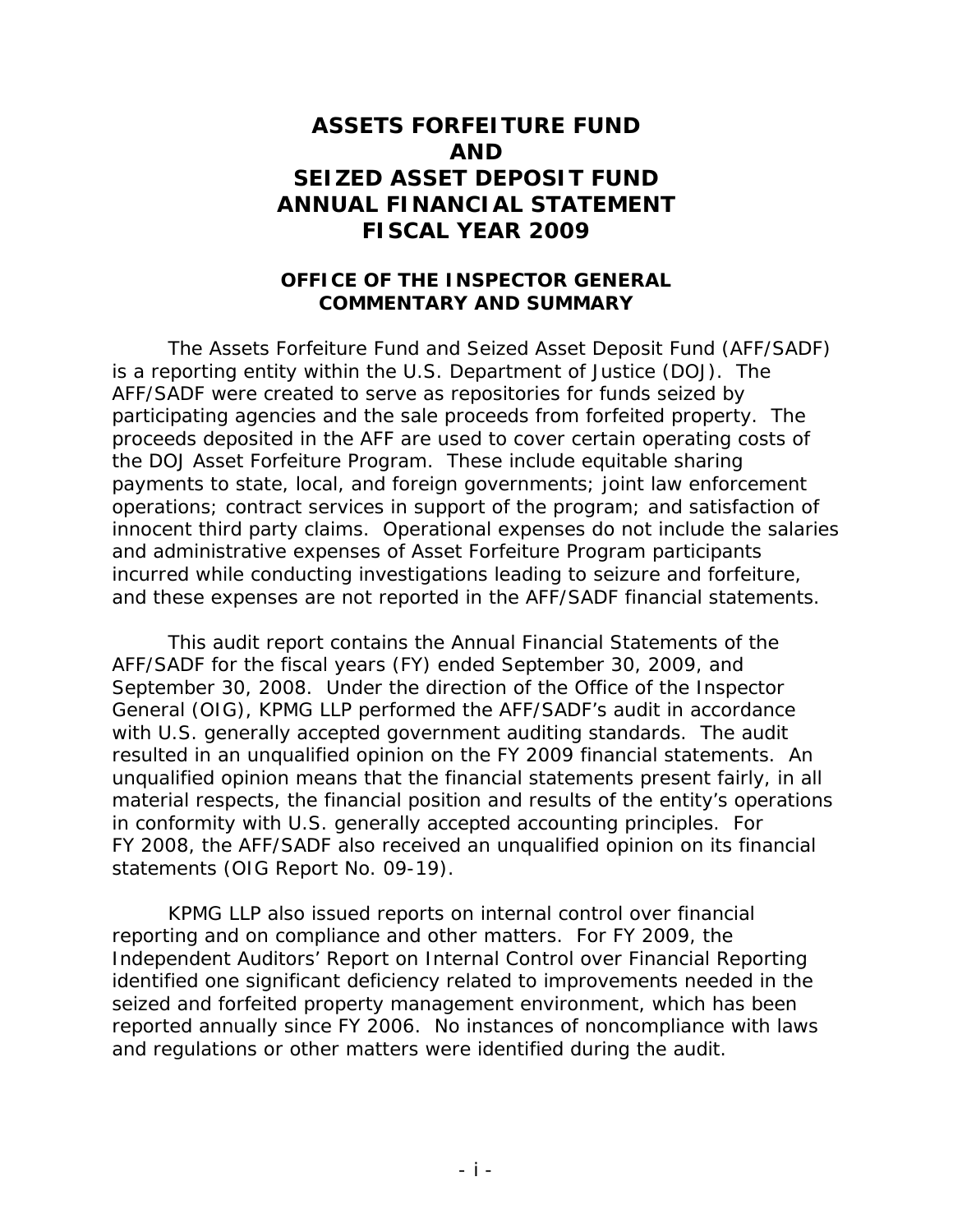## **ASSETS FORFEITURE FUND AND SEIZED ASSET DEPOSIT FUND ANNUAL FINANCIAL STATEMENT FISCAL YEAR 2009**

## **OFFICE OF THE INSPECTOR GENERAL COMMENTARY AND SUMMARY**

The Assets Forfeiture Fund and Seized Asset Deposit Fund (AFF/SADF) is a reporting entity within the U.S. Department of Justice (DOJ). The AFF/SADF were created to serve as repositories for funds seized by participating agencies and the sale proceeds from forfeited property. The proceeds deposited in the AFF are used to cover certain operating costs of the DOJ Asset Forfeiture Program. These include equitable sharing payments to state, local, and foreign governments; joint law enforcement operations; contract services in support of the program; and satisfaction of innocent third party claims. Operational expenses do not include the salaries and administrative expenses of Asset Forfeiture Program participants incurred while conducting investigations leading to seizure and forfeiture, and these expenses are not reported in the AFF/SADF financial statements.

This audit report contains the Annual Financial Statements of the AFF/SADF for the fiscal years (FY) ended September 30, 2009, and September 30, 2008. Under the direction of the Office of the Inspector General (OIG), KPMG LLP performed the AFF/SADF's audit in accordance with U.S. generally accepted government auditing standards. The audit resulted in an unqualified opinion on the FY 2009 financial statements. An unqualified opinion means that the financial statements present fairly, in all material respects, the financial position and results of the entity's operations in conformity with U.S. generally accepted accounting principles. For FY 2008, the AFF/SADF also received an unqualified opinion on its financial statements (OIG Report No. 09-19).

KPMG LLP also issued reports on internal control over financial reporting and on compliance and other matters. For FY 2009, the *Independent Auditors' Report on Internal Control over Financial Reporting* identified one significant deficiency related to improvements needed in the seized and forfeited property management environment, which has been reported annually since FY 2006. No instances of noncompliance with laws and regulations or other matters were identified during the audit.